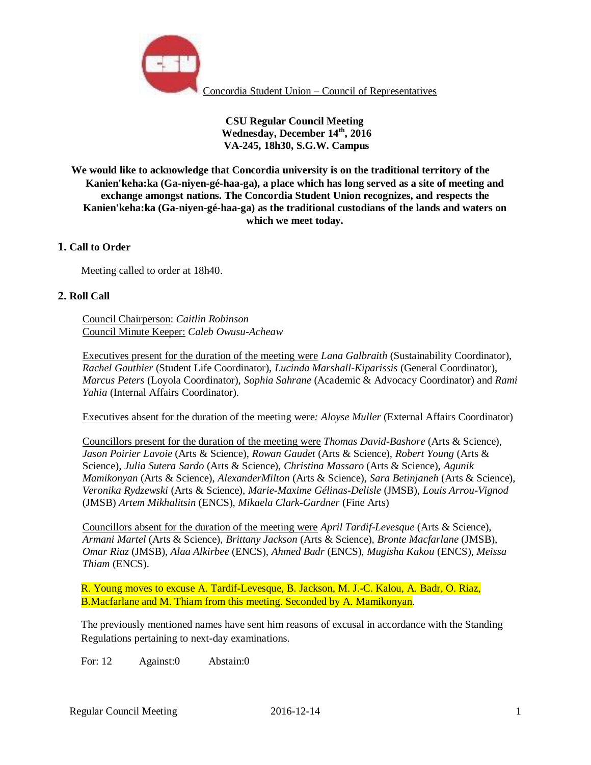

**CSU Regular Council Meeting Wednesday, December 14th, 2016 VA-245, 18h30, S.G.W. Campus** 

**We would like to acknowledge that Concordia university is on the traditional territory of the Kanien'keha:ka (Ga-niyen-gé-haa-ga), a place which has long served as a site of meeting and exchange amongst nations. The Concordia Student Union recognizes, and respects the Kanien'keha:ka (Ga-niyen-gé-haa-ga) as the traditional custodians of the lands and waters on which we meet today.** 

# **1. Call to Order**

Meeting called to order at 18h40.

## **2. Roll Call**

Council Chairperson: *Caitlin Robinson* Council Minute Keeper: *Caleb Owusu-Acheaw*

Executives present for the duration of the meeting were *Lana Galbraith* (Sustainability Coordinator), *Rachel Gauthier* (Student Life Coordinator), *Lucinda Marshall-Kiparissis* (General Coordinator), *Marcus Peters* (Loyola Coordinator), *Sophia Sahrane* (Academic & Advocacy Coordinator) and *Rami Yahia* (Internal Affairs Coordinator).

Executives absent for the duration of the meeting were*: Aloyse Muller* (External Affairs Coordinator)

Councillors present for the duration of the meeting were *Thomas David-Bashore* (Arts & Science), *Jason Poirier Lavoie* (Arts & Science), *Rowan Gaudet* (Arts & Science)*, Robert Young* (Arts & Science)*, Julia Sutera Sardo* (Arts & Science), *Christina Massaro* (Arts & Science), *Agunik Mamikonyan* (Arts & Science), *AlexanderMilton* (Arts & Science), *Sara Betinjaneh* (Arts & Science), *Veronika Rydzewski* (Arts & Science), *Marie-Maxime Gélinas-Delisle* (JMSB)*, Louis Arrou-Vignod* (JMSB) *Artem Mikhalitsin* (ENCS), *Mikaela Clark-Gardner* (Fine Arts)

Councillors absent for the duration of the meeting were *April Tardif-Levesque* (Arts & Science)*, Armani Martel* (Arts & Science), *Brittany Jackson* (Arts & Science), *Bronte Macfarlane* (JMSB), *Omar Riaz* (JMSB), *Alaa Alkirbee* (ENCS), *Ahmed Badr* (ENCS), *Mugisha Kakou* (ENCS), *Meissa Thiam* (ENCS).

R. Young moves to excuse A. Tardif-Levesque, B. Jackson, M. J.-C. Kalou, A. Badr, O. Riaz, B.Macfarlane and M. Thiam from this meeting. Seconded by A. Mamikonyan.

The previously mentioned names have sent him reasons of excusal in accordance with the Standing Regulations pertaining to next-day examinations.

For: 12 Against:0 Abstain:0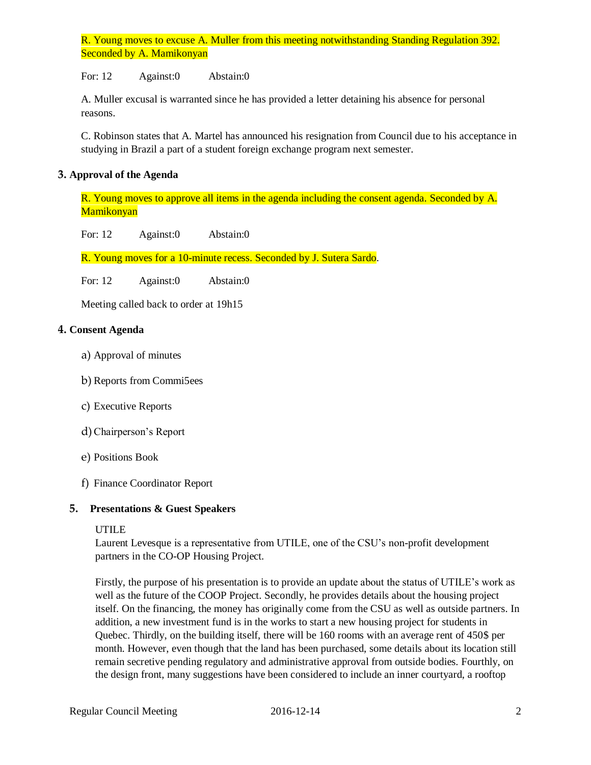R. Young moves to excuse A. Muller from this meeting notwithstanding Standing Regulation 392. Seconded by A. Mamikonyan

For: 12 Against:0 Abstain:0

A. Muller excusal is warranted since he has provided a letter detaining his absence for personal reasons.

C. Robinson states that A. Martel has announced his resignation from Council due to his acceptance in studying in Brazil a part of a student foreign exchange program next semester.

## **3. Approval of the Agenda**

R. Young moves to approve all items in the agenda including the consent agenda. Seconded by A. **Mamikonyan** 

For: 12 Against:0 Abstain:0

R. Young moves for a 10-minute recess. Seconded by J. Sutera Sardo.

For: 12 Against:0 Abstain:0

Meeting called back to order at 19h15

## **4. Consent Agenda**

- a) Approval of minutes
- b) Reports from Commi5ees
- c) Executive Reports
- d)Chairperson's Report
- e) Positions Book
- f) Finance Coordinator Report

#### **5. Presentations & Guest Speakers**

#### UTILE

Laurent Levesque is a representative from UTILE, one of the CSU's non-profit development partners in the CO-OP Housing Project.

Firstly, the purpose of his presentation is to provide an update about the status of UTILE's work as well as the future of the COOP Project. Secondly, he provides details about the housing project itself. On the financing, the money has originally come from the CSU as well as outside partners. In addition, a new investment fund is in the works to start a new housing project for students in Quebec. Thirdly, on the building itself, there will be 160 rooms with an average rent of 450\$ per month. However, even though that the land has been purchased, some details about its location still remain secretive pending regulatory and administrative approval from outside bodies. Fourthly, on the design front, many suggestions have been considered to include an inner courtyard, a rooftop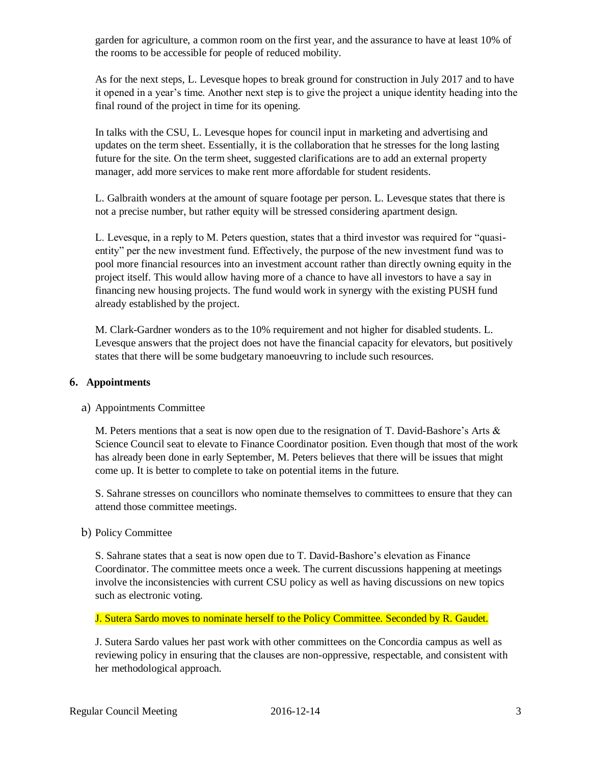garden for agriculture, a common room on the first year, and the assurance to have at least 10% of the rooms to be accessible for people of reduced mobility.

As for the next steps, L. Levesque hopes to break ground for construction in July 2017 and to have it opened in a year's time. Another next step is to give the project a unique identity heading into the final round of the project in time for its opening.

In talks with the CSU, L. Levesque hopes for council input in marketing and advertising and updates on the term sheet. Essentially, it is the collaboration that he stresses for the long lasting future for the site. On the term sheet, suggested clarifications are to add an external property manager, add more services to make rent more affordable for student residents.

L. Galbraith wonders at the amount of square footage per person. L. Levesque states that there is not a precise number, but rather equity will be stressed considering apartment design.

L. Levesque, in a reply to M. Peters question, states that a third investor was required for "quasientity" per the new investment fund. Effectively, the purpose of the new investment fund was to pool more financial resources into an investment account rather than directly owning equity in the project itself. This would allow having more of a chance to have all investors to have a say in financing new housing projects. The fund would work in synergy with the existing PUSH fund already established by the project.

M. Clark-Gardner wonders as to the 10% requirement and not higher for disabled students. L. Levesque answers that the project does not have the financial capacity for elevators, but positively states that there will be some budgetary manoeuvring to include such resources.

#### **6. Appointments**

#### a) Appointments Committee

M. Peters mentions that a seat is now open due to the resignation of T. David-Bashore's Arts & Science Council seat to elevate to Finance Coordinator position. Even though that most of the work has already been done in early September, M. Peters believes that there will be issues that might come up. It is better to complete to take on potential items in the future.

S. Sahrane stresses on councillors who nominate themselves to committees to ensure that they can attend those committee meetings.

#### b) Policy Committee

S. Sahrane states that a seat is now open due to T. David-Bashore's elevation as Finance Coordinator. The committee meets once a week. The current discussions happening at meetings involve the inconsistencies with current CSU policy as well as having discussions on new topics such as electronic voting.

J. Sutera Sardo moves to nominate herself to the Policy Committee. Seconded by R. Gaudet.

J. Sutera Sardo values her past work with other committees on the Concordia campus as well as reviewing policy in ensuring that the clauses are non-oppressive, respectable, and consistent with her methodological approach.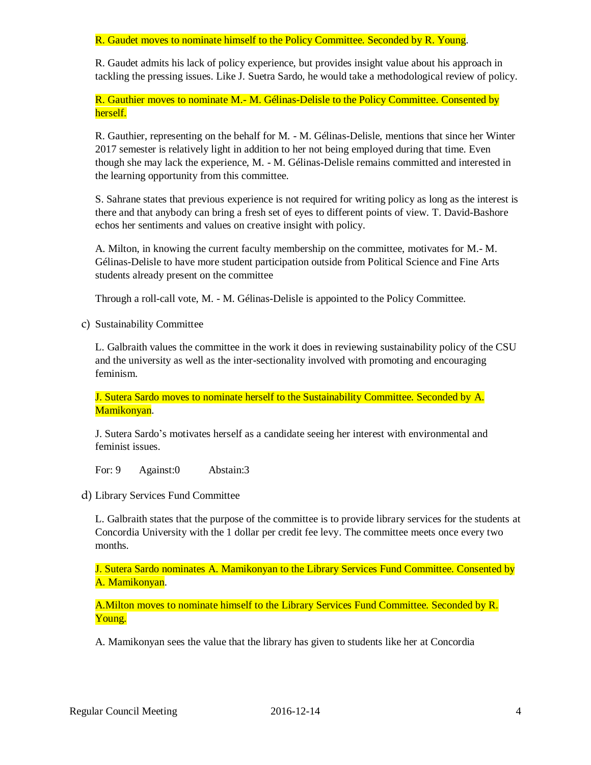R. Gaudet moves to nominate himself to the Policy Committee. Seconded by R. Young.

R. Gaudet admits his lack of policy experience, but provides insight value about his approach in tackling the pressing issues. Like J. Suetra Sardo, he would take a methodological review of policy.

R. Gauthier moves to nominate M.- M. Gélinas-Delisle to the Policy Committee. Consented by herself.

R. Gauthier, representing on the behalf for M. - M. Gélinas-Delisle, mentions that since her Winter 2017 semester is relatively light in addition to her not being employed during that time. Even though she may lack the experience, M. - M. Gélinas-Delisle remains committed and interested in the learning opportunity from this committee.

S. Sahrane states that previous experience is not required for writing policy as long as the interest is there and that anybody can bring a fresh set of eyes to different points of view. T. David-Bashore echos her sentiments and values on creative insight with policy.

A. Milton, in knowing the current faculty membership on the committee, motivates for M.- M. Gélinas-Delisle to have more student participation outside from Political Science and Fine Arts students already present on the committee

Through a roll-call vote, M. - M. Gélinas-Delisle is appointed to the Policy Committee.

c) Sustainability Committee

L. Galbraith values the committee in the work it does in reviewing sustainability policy of the CSU and the university as well as the inter-sectionality involved with promoting and encouraging feminism.

J. Sutera Sardo moves to nominate herself to the Sustainability Committee. Seconded by A. Mamikonyan.

J. Sutera Sardo's motivates herself as a candidate seeing her interest with environmental and feminist issues.

For: 9 Against: 0 Abstain: 3

d) Library Services Fund Committee

L. Galbraith states that the purpose of the committee is to provide library services for the students at Concordia University with the 1 dollar per credit fee levy. The committee meets once every two months.

J. Sutera Sardo nominates A. Mamikonyan to the Library Services Fund Committee. Consented by A. Mamikonyan.

A.Milton moves to nominate himself to the Library Services Fund Committee. Seconded by R. Young.

A. Mamikonyan sees the value that the library has given to students like her at Concordia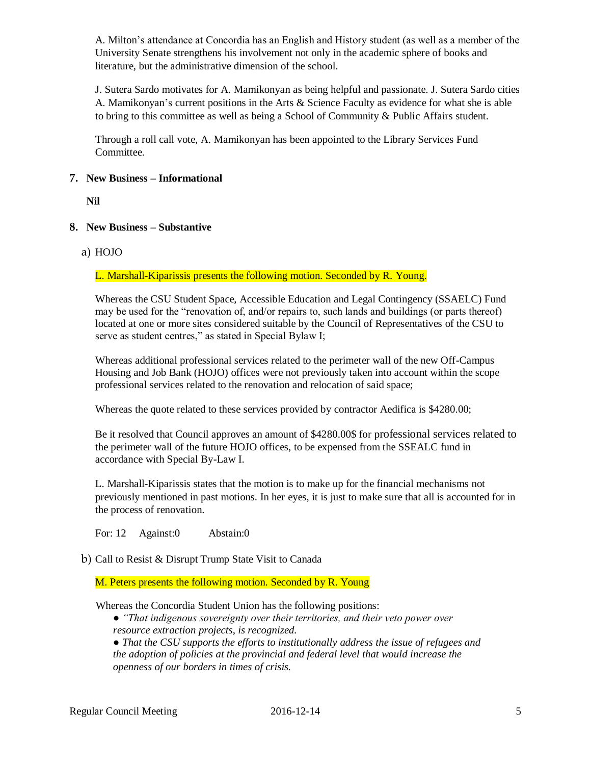A. Milton's attendance at Concordia has an English and History student (as well as a member of the University Senate strengthens his involvement not only in the academic sphere of books and literature, but the administrative dimension of the school.

J. Sutera Sardo motivates for A. Mamikonyan as being helpful and passionate. J. Sutera Sardo cities A. Mamikonyan's current positions in the Arts & Science Faculty as evidence for what she is able to bring to this committee as well as being a School of Community & Public Affairs student.

Through a roll call vote, A. Mamikonyan has been appointed to the Library Services Fund Committee.

## **7. New Business – Informational**

**Nil**

# **8. New Business – Substantive**

# a) HOJO

L. Marshall-Kiparissis presents the following motion. Seconded by R. Young.

Whereas the CSU Student Space, Accessible Education and Legal Contingency (SSAELC) Fund may be used for the "renovation of, and/or repairs to, such lands and buildings (or parts thereof) located at one or more sites considered suitable by the Council of Representatives of the CSU to serve as student centres," as stated in Special Bylaw I;

Whereas additional professional services related to the perimeter wall of the new Off-Campus Housing and Job Bank (HOJO) offices were not previously taken into account within the scope professional services related to the renovation and relocation of said space;

Whereas the quote related to these services provided by contractor Aedifica is \$4280.00;

Be it resolved that Council approves an amount of \$4280.00\$ for professional services related to the perimeter wall of the future HOJO offices, to be expensed from the SSEALC fund in accordance with Special By-Law I.

L. Marshall-Kiparissis states that the motion is to make up for the financial mechanisms not previously mentioned in past motions. In her eyes, it is just to make sure that all is accounted for in the process of renovation.

For: 12 Against:0 Abstain:0

b) Call to Resist & Disrupt Trump State Visit to Canada

M. Peters presents the following motion. Seconded by R. Young

Whereas the Concordia Student Union has the following positions:

*● "That indigenous sovereignty over their territories, and their veto power over resource extraction projects, is recognized.*

*● That the CSU supports the efforts to institutionally address the issue of refugees and the adoption of policies at the provincial and federal level that would increase the openness of our borders in times of crisis.*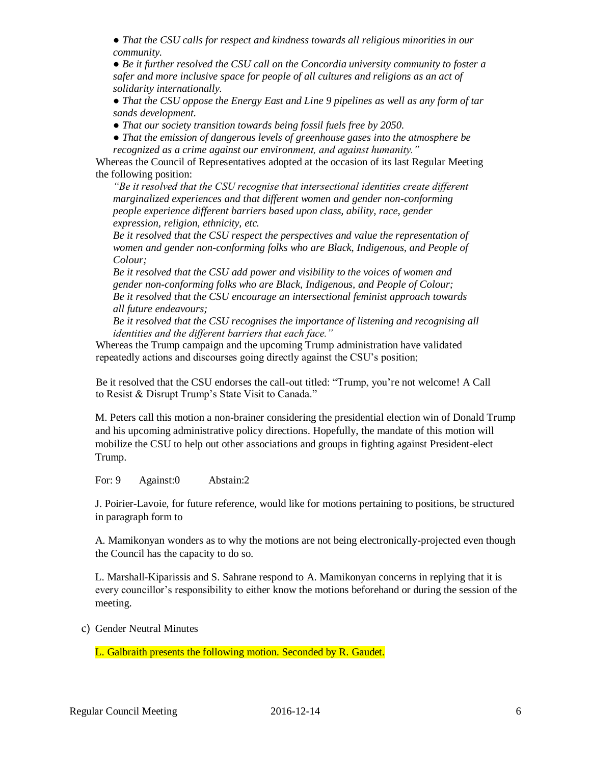*● That the CSU calls for respect and kindness towards all religious minorities in our community.*

*● Be it further resolved the CSU call on the Concordia university community to foster a safer and more inclusive space for people of all cultures and religions as an act of solidarity internationally.*

*● That the CSU oppose the Energy East and Line 9 pipelines as well as any form of tar sands development.*

*● That our society transition towards being fossil fuels free by 2050.*

*● That the emission of dangerous levels of greenhouse gases into the atmosphere be recognized as a crime against our environment, and against humanity."*

Whereas the Council of Representatives adopted at the occasion of its last Regular Meeting the following position:

*"Be it resolved that the CSU recognise that intersectional identities create different marginalized experiences and that different women and gender non-conforming people experience different barriers based upon class, ability, race, gender expression, religion, ethnicity, etc.*

*Be it resolved that the CSU respect the perspectives and value the representation of women and gender non-conforming folks who are Black, Indigenous, and People of Colour;*

*Be it resolved that the CSU add power and visibility to the voices of women and gender non-conforming folks who are Black, Indigenous, and People of Colour; Be it resolved that the CSU encourage an intersectional feminist approach towards all future endeavours;*

*Be it resolved that the CSU recognises the importance of listening and recognising all identities and the different barriers that each face."*

Whereas the Trump campaign and the upcoming Trump administration have validated repeatedly actions and discourses going directly against the CSU's position;

Be it resolved that the CSU endorses the call-out titled: "Trump, you're not welcome! A Call to Resist & Disrupt Trump's State Visit to Canada."

M. Peters call this motion a non-brainer considering the presidential election win of Donald Trump and his upcoming administrative policy directions. Hopefully, the mandate of this motion will mobilize the CSU to help out other associations and groups in fighting against President-elect Trump.

For: 9 Against: 0 Abstain: 2

J. Poirier-Lavoie, for future reference, would like for motions pertaining to positions, be structured in paragraph form to

A. Mamikonyan wonders as to why the motions are not being electronically-projected even though the Council has the capacity to do so.

L. Marshall-Kiparissis and S. Sahrane respond to A. Mamikonyan concerns in replying that it is every councillor's responsibility to either know the motions beforehand or during the session of the meeting.

c) Gender Neutral Minutes

L. Galbraith presents the following motion. Seconded by R. Gaudet.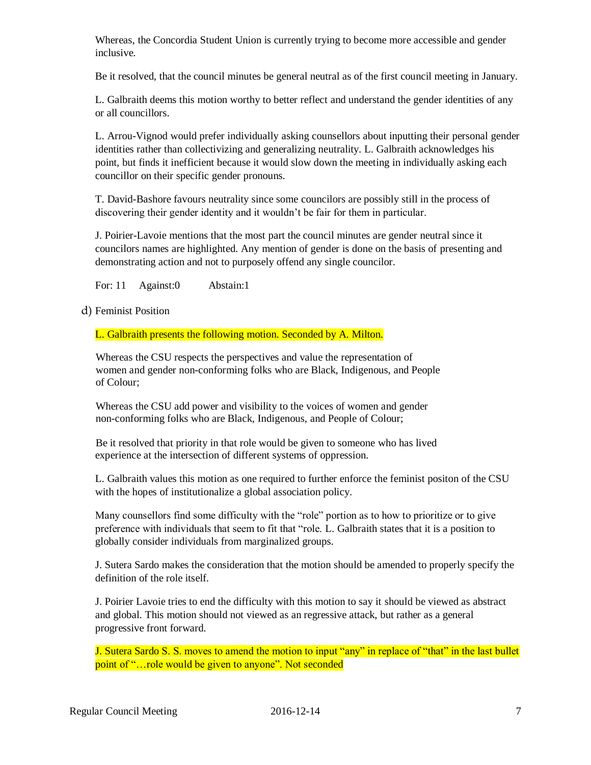Whereas, the Concordia Student Union is currently trying to become more accessible and gender inclusive.

Be it resolved, that the council minutes be general neutral as of the first council meeting in January.

L. Galbraith deems this motion worthy to better reflect and understand the gender identities of any or all councillors.

L. Arrou-Vignod would prefer individually asking counsellors about inputting their personal gender identities rather than collectivizing and generalizing neutrality. L. Galbraith acknowledges his point, but finds it inefficient because it would slow down the meeting in individually asking each councillor on their specific gender pronouns.

T. David-Bashore favours neutrality since some councilors are possibly still in the process of discovering their gender identity and it wouldn't be fair for them in particular.

J. Poirier-Lavoie mentions that the most part the council minutes are gender neutral since it councilors names are highlighted. Any mention of gender is done on the basis of presenting and demonstrating action and not to purposely offend any single councilor.

For: 11 Against:0 Abstain:1

d) Feminist Position

L. Galbraith presents the following motion. Seconded by A. Milton.

Whereas the CSU respects the perspectives and value the representation of women and gender non-conforming folks who are Black, Indigenous, and People of Colour;

Whereas the CSU add power and visibility to the voices of women and gender non-conforming folks who are Black, Indigenous, and People of Colour;

Be it resolved that priority in that role would be given to someone who has lived experience at the intersection of different systems of oppression.

L. Galbraith values this motion as one required to further enforce the feminist positon of the CSU with the hopes of institutionalize a global association policy.

Many counsellors find some difficulty with the "role" portion as to how to prioritize or to give preference with individuals that seem to fit that "role. L. Galbraith states that it is a position to globally consider individuals from marginalized groups.

J. Sutera Sardo makes the consideration that the motion should be amended to properly specify the definition of the role itself.

J. Poirier Lavoie tries to end the difficulty with this motion to say it should be viewed as abstract and global. This motion should not viewed as an regressive attack, but rather as a general progressive front forward.

J. Sutera Sardo S. S. moves to amend the motion to input "any" in replace of "that" in the last bullet point of "...role would be given to anyone". Not seconded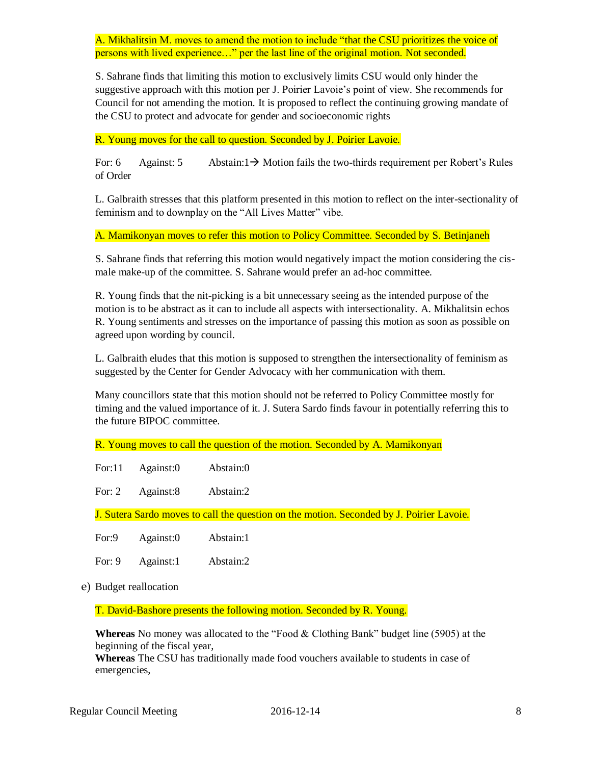A. Mikhalitsin M. moves to amend the motion to include "that the CSU prioritizes the voice of persons with lived experience…" per the last line of the original motion. Not seconded.

S. Sahrane finds that limiting this motion to exclusively limits CSU would only hinder the suggestive approach with this motion per J. Poirier Lavoie's point of view. She recommends for Council for not amending the motion. It is proposed to reflect the continuing growing mandate of the CSU to protect and advocate for gender and socioeconomic rights

R. Young moves for the call to question. Seconded by J. Poirier Lavoie.

For: 6 Against: 5 Abstain:1 $\rightarrow$  Motion fails the two-thirds requirement per Robert's Rules of Order

L. Galbraith stresses that this platform presented in this motion to reflect on the inter-sectionality of feminism and to downplay on the "All Lives Matter" vibe.

A. Mamikonyan moves to refer this motion to Policy Committee. Seconded by S. Betinjaneh

S. Sahrane finds that referring this motion would negatively impact the motion considering the cismale make-up of the committee. S. Sahrane would prefer an ad-hoc committee.

R. Young finds that the nit-picking is a bit unnecessary seeing as the intended purpose of the motion is to be abstract as it can to include all aspects with intersectionality. A. Mikhalitsin echos R. Young sentiments and stresses on the importance of passing this motion as soon as possible on agreed upon wording by council.

L. Galbraith eludes that this motion is supposed to strengthen the intersectionality of feminism as suggested by the Center for Gender Advocacy with her communication with them.

Many councillors state that this motion should not be referred to Policy Committee mostly for timing and the valued importance of it. J. Sutera Sardo finds favour in potentially referring this to the future BIPOC committee.

R. Young moves to call the question of the motion. Seconded by A. Mamikonyan

| For: 11  | Against:0 | Abstain:0                                                                                |
|----------|-----------|------------------------------------------------------------------------------------------|
| For: $2$ | Against:8 | Abstain:2                                                                                |
|          |           | J. Sutera Sardo moves to call the question on the motion. Seconded by J. Poirier Lavoie. |
| For:9    | Against:0 | Abstain:1                                                                                |
| For: $9$ | Against:1 | Abstain:2                                                                                |

e) Budget reallocation

T. David-Bashore presents the following motion. Seconded by R. Young.

**Whereas** No money was allocated to the "Food & Clothing Bank" budget line (5905) at the beginning of the fiscal year,

**Whereas** The CSU has traditionally made food vouchers available to students in case of emergencies,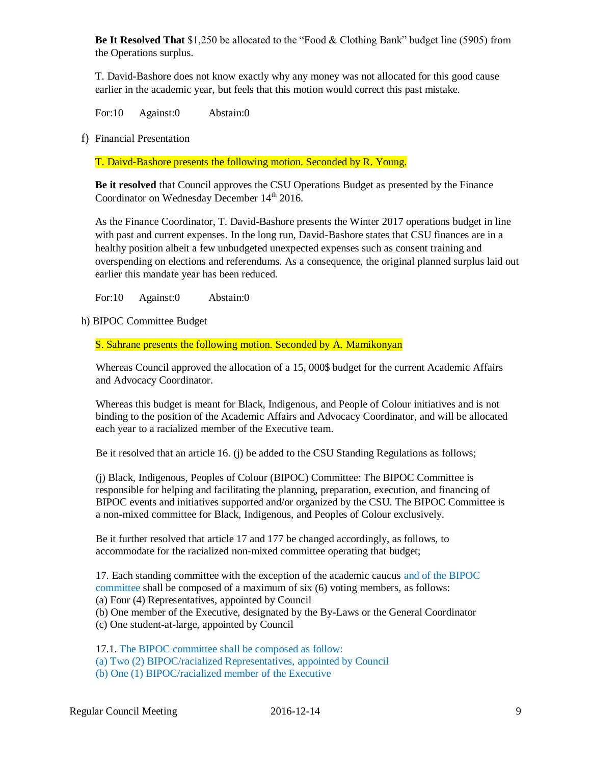**Be It Resolved That** \$1,250 be allocated to the "Food & Clothing Bank" budget line (5905) from the Operations surplus.

T. David-Bashore does not know exactly why any money was not allocated for this good cause earlier in the academic year, but feels that this motion would correct this past mistake.

For:10 Against:0 Abstain:0

f) Financial Presentation

T. Daivd-Bashore presents the following motion. Seconded by R. Young.

**Be it resolved** that Council approves the CSU Operations Budget as presented by the Finance Coordinator on Wednesday December 14<sup>th</sup> 2016.

As the Finance Coordinator, T. David-Bashore presents the Winter 2017 operations budget in line with past and current expenses. In the long run, David-Bashore states that CSU finances are in a healthy position albeit a few unbudgeted unexpected expenses such as consent training and overspending on elections and referendums. As a consequence, the original planned surplus laid out earlier this mandate year has been reduced.

For:10 Against:0 Abstain:0

h) BIPOC Committee Budget

S. Sahrane presents the following motion. Seconded by A. Mamikonyan

Whereas Council approved the allocation of a 15, 000\$ budget for the current Academic Affairs and Advocacy Coordinator.

Whereas this budget is meant for Black, Indigenous, and People of Colour initiatives and is not binding to the position of the Academic Affairs and Advocacy Coordinator, and will be allocated each year to a racialized member of the Executive team.

Be it resolved that an article 16. (j) be added to the CSU Standing Regulations as follows;

(j) Black, Indigenous, Peoples of Colour (BIPOC) Committee: The BIPOC Committee is responsible for helping and facilitating the planning, preparation, execution, and financing of BIPOC events and initiatives supported and/or organized by the CSU. The BIPOC Committee is a non-mixed committee for Black, Indigenous, and Peoples of Colour exclusively.

Be it further resolved that article 17 and 177 be changed accordingly, as follows, to accommodate for the racialized non-mixed committee operating that budget;

17. Each standing committee with the exception of the academic caucus and of the BIPOC committee shall be composed of a maximum of six (6) voting members, as follows:

(a) Four (4) Representatives, appointed by Council

(b) One member of the Executive, designated by the By-Laws or the General Coordinator

(c) One student-at-large, appointed by Council

17.1. The BIPOC committee shall be composed as follow:

- (a) Two (2) BIPOC/racialized Representatives, appointed by Council
- (b) One (1) BIPOC/racialized member of the Executive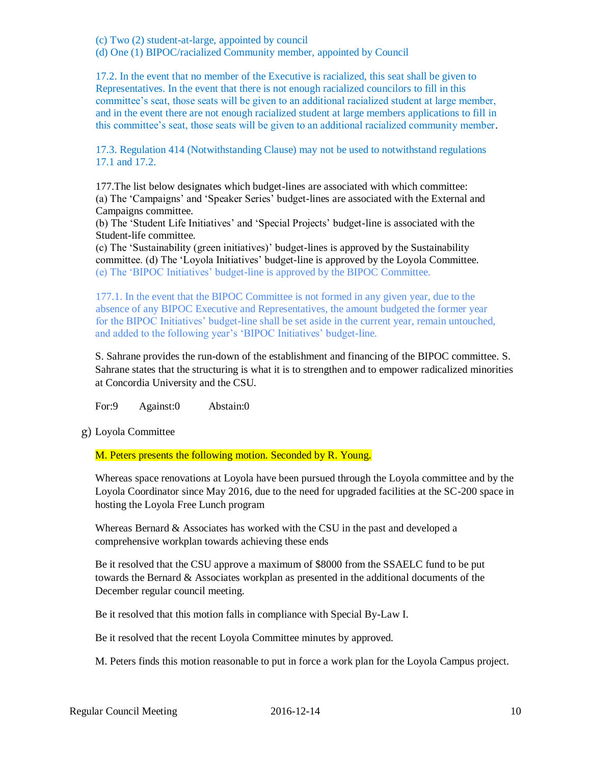(c) Two (2) student-at-large, appointed by council

(d) One (1) BIPOC/racialized Community member, appointed by Council

17.2. In the event that no member of the Executive is racialized, this seat shall be given to Representatives. In the event that there is not enough racialized councilors to fill in this committee's seat, those seats will be given to an additional racialized student at large member, and in the event there are not enough racialized student at large members applications to fill in this committee's seat, those seats will be given to an additional racialized community member.

17.3. Regulation 414 (Notwithstanding Clause) may not be used to notwithstand regulations 17.1 and 17.2.

177.The list below designates which budget-lines are associated with which committee: (a) The 'Campaigns' and 'Speaker Series' budget-lines are associated with the External and Campaigns committee.

(b) The 'Student Life Initiatives' and 'Special Projects' budget-line is associated with the Student-life committee.

(c) The 'Sustainability (green initiatives)' budget-lines is approved by the Sustainability committee. (d) The 'Loyola Initiatives' budget-line is approved by the Loyola Committee. (e) The 'BIPOC Initiatives' budget-line is approved by the BIPOC Committee.

177.1. In the event that the BIPOC Committee is not formed in any given year, due to the absence of any BIPOC Executive and Representatives, the amount budgeted the former year for the BIPOC Initiatives' budget-line shall be set aside in the current year, remain untouched, and added to the following year's 'BIPOC Initiatives' budget-line.

S. Sahrane provides the run-down of the establishment and financing of the BIPOC committee. S. Sahrane states that the structuring is what it is to strengthen and to empower radicalized minorities at Concordia University and the CSU.

For:9 Against:0 Abstain:0

g) Loyola Committee

M. Peters presents the following motion. Seconded by R. Young.

Whereas space renovations at Loyola have been pursued through the Loyola committee and by the Loyola Coordinator since May 2016, due to the need for upgraded facilities at the SC-200 space in hosting the Loyola Free Lunch program

Whereas Bernard & Associates has worked with the CSU in the past and developed a comprehensive workplan towards achieving these ends

Be it resolved that the CSU approve a maximum of \$8000 from the SSAELC fund to be put towards the Bernard & Associates workplan as presented in the additional documents of the December regular council meeting.

Be it resolved that this motion falls in compliance with Special By-Law I.

Be it resolved that the recent Loyola Committee minutes by approved.

M. Peters finds this motion reasonable to put in force a work plan for the Loyola Campus project.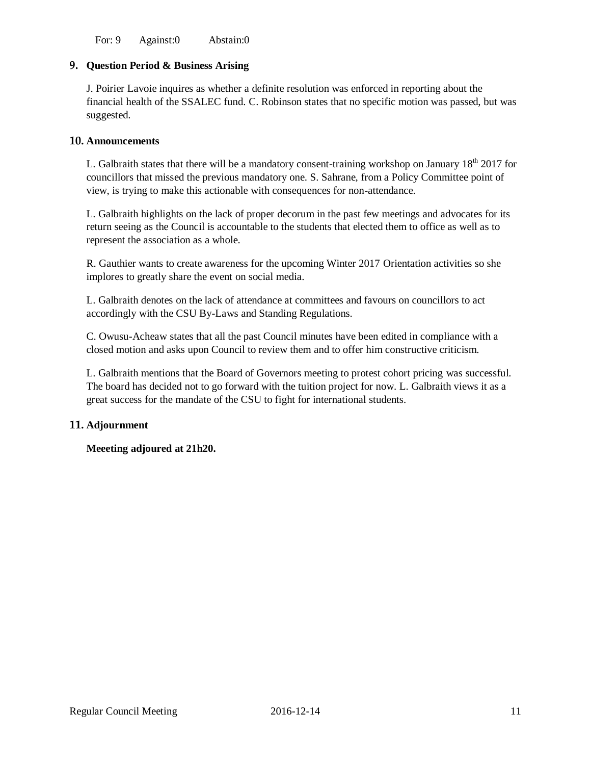For: 9 Against: 0 Abstain: 0

### **9. Question Period & Business Arising**

J. Poirier Lavoie inquires as whether a definite resolution was enforced in reporting about the financial health of the SSALEC fund. C. Robinson states that no specific motion was passed, but was suggested.

#### **10. Announcements**

L. Galbraith states that there will be a mandatory consent-training workshop on January  $18<sup>th</sup> 2017$  for councillors that missed the previous mandatory one. S. Sahrane, from a Policy Committee point of view, is trying to make this actionable with consequences for non-attendance.

L. Galbraith highlights on the lack of proper decorum in the past few meetings and advocates for its return seeing as the Council is accountable to the students that elected them to office as well as to represent the association as a whole.

R. Gauthier wants to create awareness for the upcoming Winter 2017 Orientation activities so she implores to greatly share the event on social media.

L. Galbraith denotes on the lack of attendance at committees and favours on councillors to act accordingly with the CSU By-Laws and Standing Regulations.

C. Owusu-Acheaw states that all the past Council minutes have been edited in compliance with a closed motion and asks upon Council to review them and to offer him constructive criticism.

L. Galbraith mentions that the Board of Governors meeting to protest cohort pricing was successful. The board has decided not to go forward with the tuition project for now. L. Galbraith views it as a great success for the mandate of the CSU to fight for international students.

## **11. Adjournment**

**Meeeting adjoured at 21h20.**